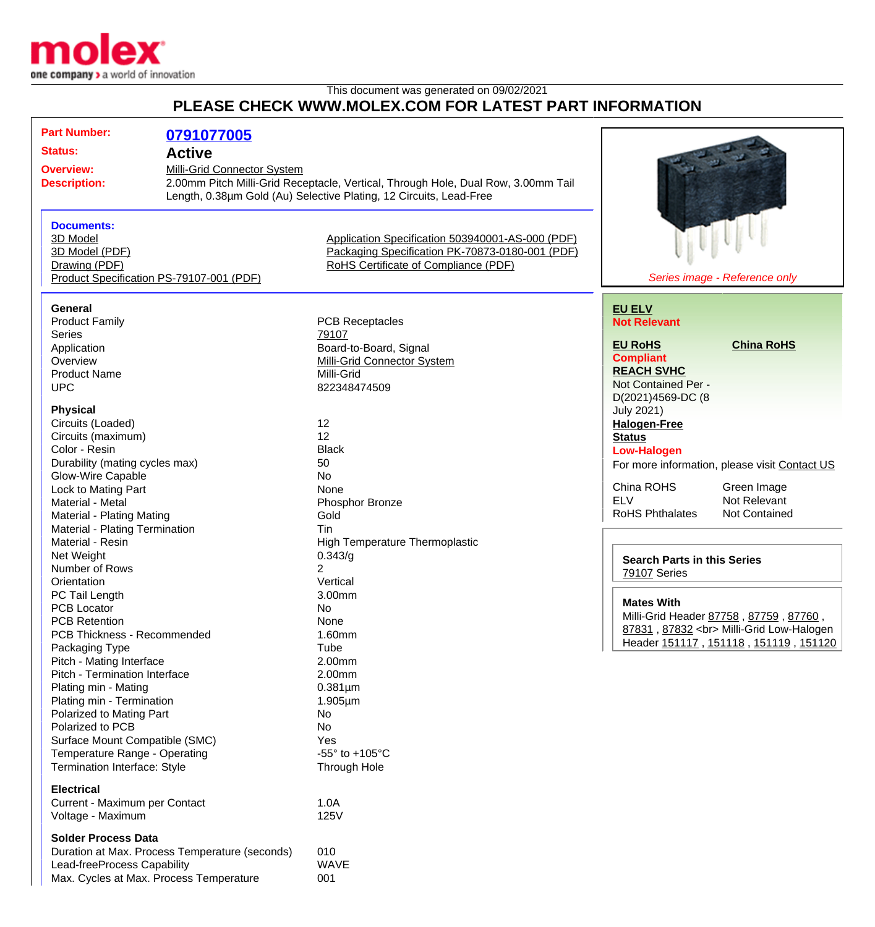

## This document was generated on 09/02/2021 **PLEASE CHECK WWW.MOLEX.COM FOR LATEST PART INFORMATION**

| <b>Part Number:</b><br>0791077005                                  |                                                                                                                  |                                                  |                                    |                                               |
|--------------------------------------------------------------------|------------------------------------------------------------------------------------------------------------------|--------------------------------------------------|------------------------------------|-----------------------------------------------|
| <b>Status:</b><br><b>Active</b>                                    |                                                                                                                  |                                                  |                                    |                                               |
|                                                                    |                                                                                                                  |                                                  |                                    |                                               |
| <b>Overview:</b><br><b>Description:</b>                            | Milli-Grid Connector System<br>2.00mm Pitch Milli-Grid Receptacle, Vertical, Through Hole, Dual Row, 3.00mm Tail |                                                  |                                    |                                               |
| Length, 0.38um Gold (Au) Selective Plating, 12 Circuits, Lead-Free |                                                                                                                  |                                                  |                                    |                                               |
|                                                                    |                                                                                                                  |                                                  |                                    |                                               |
| <b>Documents:</b>                                                  |                                                                                                                  |                                                  |                                    |                                               |
| 3D Model                                                           |                                                                                                                  | Application Specification 503940001-AS-000 (PDF) |                                    |                                               |
| 3D Model (PDF)                                                     |                                                                                                                  | Packaging Specification PK-70873-0180-001 (PDF)  |                                    |                                               |
| Drawing (PDF)                                                      |                                                                                                                  | RoHS Certificate of Compliance (PDF)             |                                    |                                               |
| Product Specification PS-79107-001 (PDF)                           |                                                                                                                  |                                                  |                                    | Series image - Reference only                 |
|                                                                    |                                                                                                                  |                                                  |                                    |                                               |
| <b>General</b>                                                     |                                                                                                                  |                                                  | <b>EU ELV</b>                      |                                               |
| <b>Product Family</b>                                              |                                                                                                                  | <b>PCB Receptacles</b>                           | <b>Not Relevant</b>                |                                               |
| <b>Series</b>                                                      | 79107                                                                                                            |                                                  | <b>EU RoHS</b>                     | <b>China RoHS</b>                             |
| Application                                                        |                                                                                                                  | Board-to-Board, Signal                           | <b>Compliant</b>                   |                                               |
| Overview                                                           |                                                                                                                  | <b>Milli-Grid Connector System</b>               | <b>REACH SVHC</b>                  |                                               |
| <b>Product Name</b>                                                | Milli-Grid                                                                                                       |                                                  | Not Contained Per -                |                                               |
| <b>UPC</b>                                                         |                                                                                                                  | 822348474509                                     | D(2021)4569-DC (8                  |                                               |
| <b>Physical</b>                                                    |                                                                                                                  |                                                  | <b>July 2021)</b>                  |                                               |
| Circuits (Loaded)                                                  | 12                                                                                                               |                                                  | <b>Halogen-Free</b>                |                                               |
| Circuits (maximum)                                                 | 12                                                                                                               |                                                  | <b>Status</b>                      |                                               |
| Color - Resin                                                      | <b>Black</b>                                                                                                     |                                                  |                                    |                                               |
| Durability (mating cycles max)                                     | 50                                                                                                               |                                                  | <b>Low-Halogen</b>                 |                                               |
| Glow-Wire Capable                                                  | <b>No</b>                                                                                                        |                                                  |                                    | For more information, please visit Contact US |
| Lock to Mating Part                                                | None                                                                                                             |                                                  | China ROHS                         | Green Image                                   |
| Material - Metal                                                   |                                                                                                                  | Phosphor Bronze                                  | <b>ELV</b>                         | Not Relevant                                  |
| <b>Material - Plating Mating</b>                                   | Gold                                                                                                             |                                                  | <b>RoHS Phthalates</b>             | <b>Not Contained</b>                          |
|                                                                    |                                                                                                                  |                                                  |                                    |                                               |
| Material - Plating Termination<br>Material - Resin                 | Tin                                                                                                              |                                                  |                                    |                                               |
|                                                                    | 0.343/g                                                                                                          | <b>High Temperature Thermoplastic</b>            |                                    |                                               |
| Net Weight                                                         |                                                                                                                  |                                                  | <b>Search Parts in this Series</b> |                                               |
| Number of Rows<br>Orientation                                      |                                                                                                                  |                                                  | 79107 Series                       |                                               |
|                                                                    | Vertical                                                                                                         |                                                  |                                    |                                               |
| PC Tail Length                                                     | 3.00mm<br>No                                                                                                     |                                                  | <b>Mates With</b>                  |                                               |
| <b>PCB Locator</b>                                                 |                                                                                                                  |                                                  |                                    | Milli-Grid Header 87758, 87759, 87760,        |
| <b>PCB Retention</b>                                               |                                                                                                                  | None                                             |                                    | 87831, 87832<br>Milli-Grid Low-Halogen        |
| PCB Thickness - Recommended                                        |                                                                                                                  | 1.60mm                                           |                                    | Header 151117, 151118, 151119, 151120         |
| Packaging Type                                                     | Tube                                                                                                             |                                                  |                                    |                                               |
| Pitch - Mating Interface                                           | 2.00mm                                                                                                           |                                                  |                                    |                                               |
| Pitch - Termination Interface                                      | 2.00mm                                                                                                           |                                                  |                                    |                                               |
| Plating min - Mating                                               | $0.381 \mu m$                                                                                                    |                                                  |                                    |                                               |
| Plating min - Termination                                          | $1.905 \mu m$                                                                                                    |                                                  |                                    |                                               |
| Polarized to Mating Part                                           | No                                                                                                               |                                                  |                                    |                                               |
| Polarized to PCB                                                   | No                                                                                                               |                                                  |                                    |                                               |
| Surface Mount Compatible (SMC)                                     | Yes                                                                                                              |                                                  |                                    |                                               |
| Temperature Range - Operating                                      |                                                                                                                  | -55 $\degree$ to +105 $\degree$ C                |                                    |                                               |
| Termination Interface: Style                                       |                                                                                                                  | Through Hole                                     |                                    |                                               |
| <b>Electrical</b>                                                  |                                                                                                                  |                                                  |                                    |                                               |
| Current - Maximum per Contact                                      | 1.0A                                                                                                             |                                                  |                                    |                                               |
| Voltage - Maximum                                                  | 125V                                                                                                             |                                                  |                                    |                                               |
| <b>Solder Process Data</b>                                         |                                                                                                                  |                                                  |                                    |                                               |
| Duration at Max. Process Temperature (seconds)                     | 010                                                                                                              |                                                  |                                    |                                               |
| Lead-freeProcess Capability                                        | <b>WAVE</b>                                                                                                      |                                                  |                                    |                                               |
| Max. Cycles at Max. Process Temperature                            | 001                                                                                                              |                                                  |                                    |                                               |
|                                                                    |                                                                                                                  |                                                  |                                    |                                               |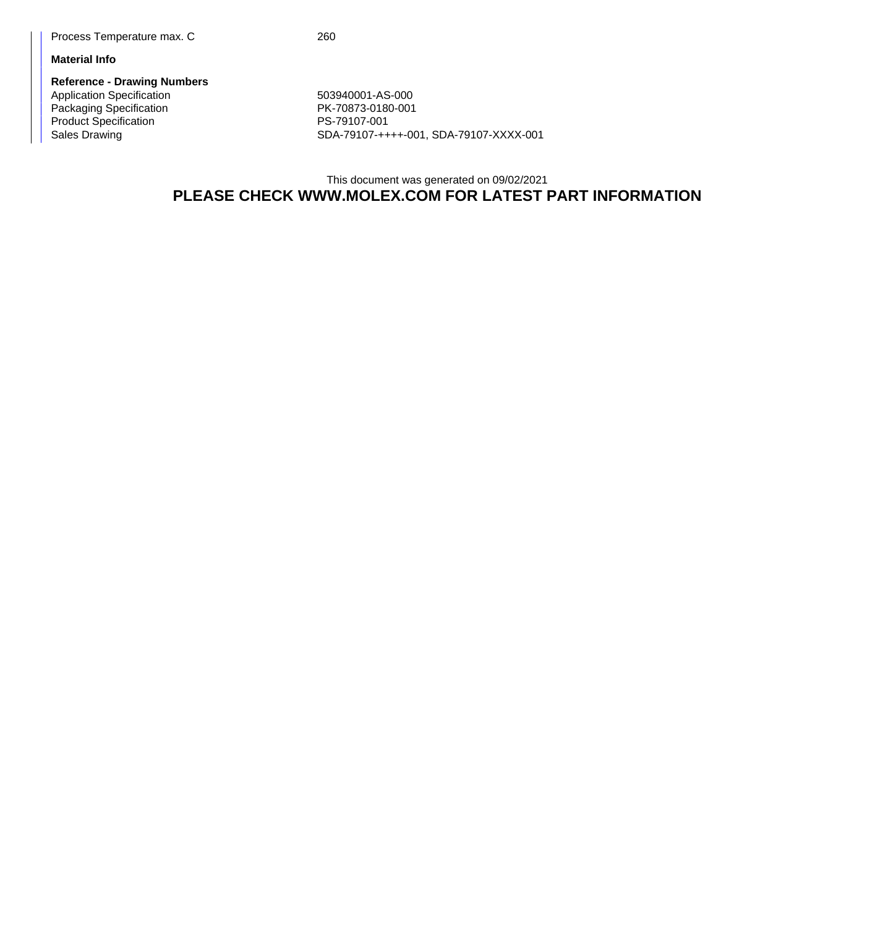## **Material Info**

**Reference - Drawing Numbers** Application Specification 603940001-AS-000 Packaging Specification **PK-70873-0180-001** Product Specification<br>
Sales Drawing<br>
SDA-79107-++

SDA-79107-++++-001, SDA-79107-XXXX-001

## This document was generated on 09/02/2021 **PLEASE CHECK WWW.MOLEX.COM FOR LATEST PART INFORMATION**